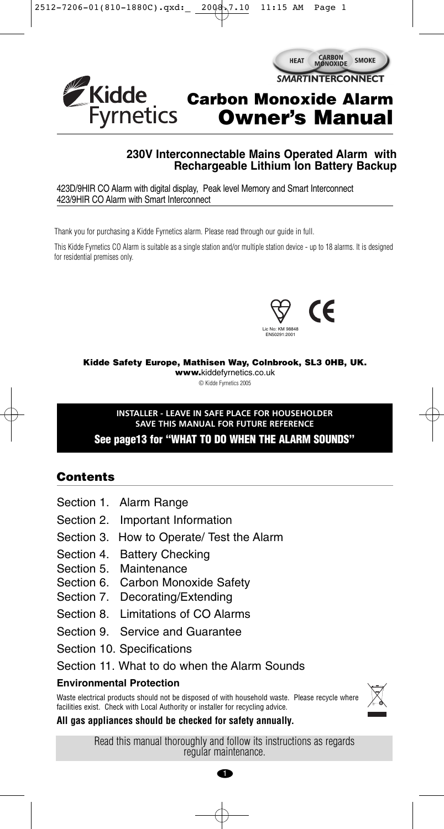

#### **230V Interconnectable Mains Operated Alarm with Rechargeable Lithium Ion Battery Backup**

423D/9HIR CO Alarm with digital display, Peak level Memory and Smart Interconnect 423/9HIR CO Alarm with Smart Interconnect

Thank you for purchasing a Kidde Fyrnetics alarm. Please read through our guide in full.

This Kidde Fyrnetics CO Alarm is suitable as a single station and/or multiple station device - up to 18 alarms. It is designed for residential premises only.



**Kidde Safety Europe, Mathisen Way, Colnbrook, SL3 0HB, UK.**

**www.**kiddefyrnetics.co.uk

© Kidde Fyrnetics 2005

#### **INSTALLER - LEAVE IN SAFE PLACE FOR HOUSEHOLDER SAVE THIS MANUAL FOR FUTURE REFERENCE See page13 for "WHAT TO DO WHEN THE ALARM SOUNDS"**

# **Contents**

- Section 1. Alarm Range Section 2. Important Information
- Section 3. How to Operate/ Test the Alarm
- Section 4. Battery Checking
- Section 5. Maintenance
- Section 6. Carbon Monoxide Safety
- Section 7. Decorating/Extending
- Section 8. Limitations of CO Alarms
- Section 9. Service and Guarantee
- Section 10. Specifications
- Section 11. What to do when the Alarm Sounds

#### **Environmental Protection**

Waste electrical products should not be disposed of with household waste. Please recycle where facilities exist. Check with Local Authority or installer for recycling advice.

#### **All gas appliances should be checked for safety annually.**

Read this manual thoroughly and follow its instructions as regards regular maintenance.

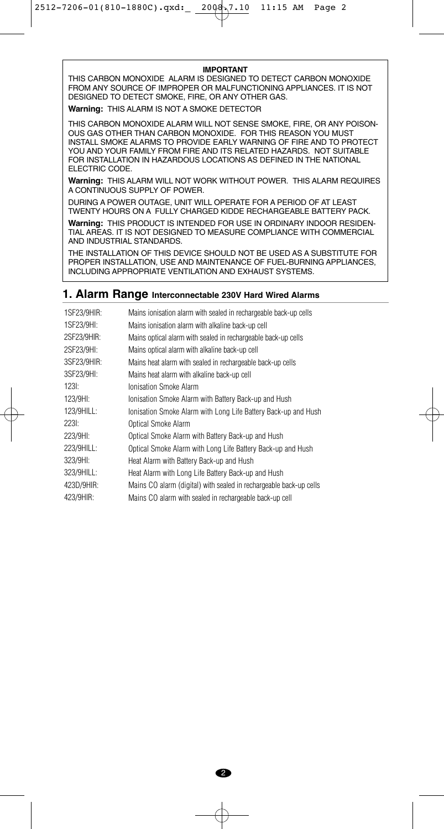#### **IMPORTANT**

THIS CARBON MONOXIDE ALARM IS DESIGNED TO DETECT CARBON MONOXIDE FROM ANY SOURCE OF IMPROPER OR MALFUNCTIONING APPLIANCES. IT IS NOT DESIGNED TO DETECT SMOKE, FIRE, OR ANY OTHER GAS.

**Warning:** THIS ALARM IS NOT A SMOKE DETECTOR

THIS CARBON MONOXIDE ALARM WILL NOT SENSE SMOKE, FIRE, OR ANY POISON-OUS GAS OTHER THAN CARBON MONOXIDE. FOR THIS REASON YOU MUST INSTALL SMOKE ALARMS TO PROVIDE EARLY WARNING OF FIRE AND TO PROTECT YOU AND YOUR FAMILY FROM FIRE AND ITS RELATED HAZARDS. NOT SUITABLE FOR INSTALLATION IN HAZARDOUS LOCATIONS AS DEFINED IN THE NATIONAL ELECTRIC CODE.

**Warning:** THIS ALARM WILL NOT WORK WITHOUT POWER. THIS ALARM REQUIRES A CONTINUOUS SUPPLY OF POWER.

DURING A POWER OUTAGE, UNIT WILL OPERATE FOR A PERIOD OF AT LEAST TWENTY HOURS ON A FULLY CHARGED KIDDE RECHARGEABLE BATTERY PACK.

**Warning:** THIS PRODUCT IS INTENDED FOR USE IN ORDINARY INDOOR RESIDEN-TIAL AREAS. IT IS NOT DESIGNED TO MEASURE COMPLIANCE WITH COMMERCIAL AND INDUSTRIAL STANDARDS.

THE INSTALLATION OF THIS DEVICE SHOULD NOT BE USED AS A SUBSTITUTE FOR PROPER INSTALLATION, USE AND MAINTENANCE OF FUEL-BURNING APPLIANCES, INCLUDING APPROPRIATE VENTILATION AND EXHAUST SYSTEMS.

#### **1. Alarm Range Interconnectable 230V Hard Wired Alarms**

| 1SF23/9HIR: | Mains ionisation alarm with sealed in rechargeable back-up cells   |
|-------------|--------------------------------------------------------------------|
| 1SF23/9HI:  | Mains ionisation alarm with alkaline back-up cell                  |
| 2SF23/9HIR: | Mains optical alarm with sealed in rechargeable back-up cells      |
| 2SF23/9HI:  | Mains optical alarm with alkaline back-up cell                     |
| 3SF23/9HIR: | Mains heat alarm with sealed in rechargeable back-up cells         |
| 3SF23/9HI:  | Mains heat alarm with alkaline back-up cell                        |
| 123I:       | <b>Ionisation Smoke Alarm</b>                                      |
| 123/9HI:    | Ionisation Smoke Alarm with Battery Back-up and Hush               |
| 123/9HILL:  | Ionisation Smoke Alarm with Long Life Battery Back-up and Hush     |
| 223I:       | Optical Smoke Alarm                                                |
| 223/9HI:    | Optical Smoke Alarm with Battery Back-up and Hush                  |
| 223/9HILL:  | Optical Smoke Alarm with Long Life Battery Back-up and Hush        |
| 323/9HI:    | Heat Alarm with Battery Back-up and Hush                           |
| 323/9HILL:  | Heat Alarm with Long Life Battery Back-up and Hush                 |
| 423D/9HIR:  | Mains CO alarm (digital) with sealed in rechargeable back-up cells |
| 423/9HIR:   | Mains CO alarm with sealed in rechargeable back-up cell            |

2

Æ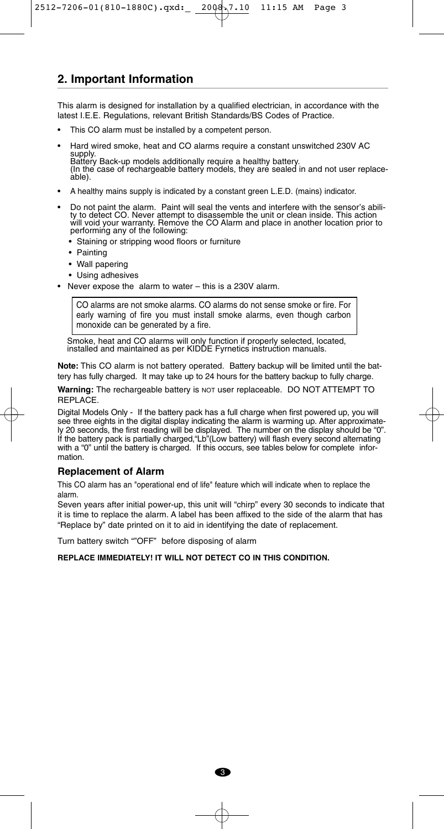### **2. Important Information**

This alarm is designed for installation by a qualified electrician, in accordance with the latest I.E.E. Regulations, relevant British Standards/BS Codes of Practice.

- This CO alarm must be installed by a competent person.
- Hard wired smoke, heat and CO alarms require a constant unswitched 230V AC supply. Battery Back-up models additionally require a healthy battery. (In the case of rechargeable battery models, they are sealed in and not user replace-able).
- A healthy mains supply is indicated by a constant green L.E.D. (mains) indicator.
- Do not paint the alarm. Paint will seal the vents and interfere with the sensor's ability to detect CO. Never attempt to disassemble the unit or clean inside. This action will void your warranty. Remove the CO Alarm and
	- Staining or stripping wood floors or furniture
	- Painting
	- Wall papering
	- Using adhesives
- Never expose the alarm to water this is a 230V alarm.

CO alarms are not smoke alarms. CO alarms do not sense smoke or fire. For early warning of fire you must install smoke alarms, even though carbon monoxide can be generated by a fire.

Smoke, heat and CO alarms will only function if properly selected, located, installed and maintained as per KIDDE Fyrnetics instruction manuals.

**Note:** This CO alarm is not battery operated. Battery backup will be limited until the battery has fully charged. It may take up to 24 hours for the battery backup to fully charge.

**Warning:** The rechargeable battery is NOT user replaceable. DO NOT ATTEMPT TO REPLACE.

Digital Models Only - If the battery pack has a full charge when first powered up, you will see three eights in the digital display indicating the alarm is warming up. After approximately 20 seconds, the first reading will be displayed. The number on the display should be "0". If the battery pack is partially charged,"Lb"(Low battery) will flash every second alternating with a "0" until the battery is charged. If this occurs, see tables below for complete information.

#### **Replacement of Alarm**

This CO alarm has an "operational end of life" feature which will indicate when to replace the alarm.

Seven years after initial power-up, this unit will "chirp" every 30 seconds to indicate that it is time to replace the alarm. A label has been affixed to the side of the alarm that has "Replace by" date printed on it to aid in identifying the date of replacement.

Turn battery switch ""OFF" before disposing of alarm

**REPLACE IMMEDIATELY! IT WILL NOT DETECT CO IN THIS CONDITION.**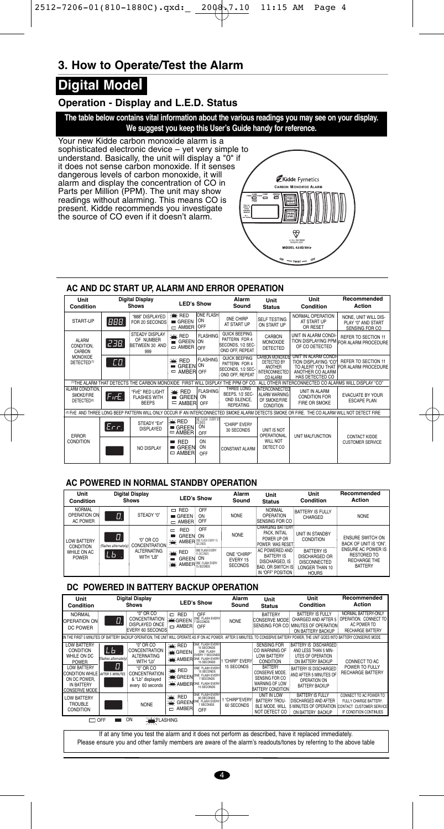# **3. How to Operate/Test the Alarm**

# **Digital Model**

#### **Operation - Display and L.E.D. Status**

**The table below contains vital information about the various readings you may see on your display. We suggest you keep this User's Guide handy for reference.**

Your new Kidde carbon monoxide alarm is a<br>sophisticated electronic device – yet very simple to<br>understand. Basically, the unit will display a "0" if<br>direction of sense carbon monoxide. If it senses<br>dangerous levels of carb readings without alarming. This means CO is present. Kidde recommends you investigate the source of CO even if it doesn't alarm.



#### **AC AND DC START UP, ALARM AND ERROR OPERATION**

| Unit<br>Condition                                         |       | <b>Digital Display</b><br><b>Shows</b>                                                      |                                        | <b>LED's Show</b>                          | Alarm<br>Sound                                                         | Unit<br><b>Status</b>                                                          | Unit<br>Condition                                                                                                                              | Recommended<br>Action                                          |
|-----------------------------------------------------------|-------|---------------------------------------------------------------------------------------------|----------------------------------------|--------------------------------------------|------------------------------------------------------------------------|--------------------------------------------------------------------------------|------------------------------------------------------------------------------------------------------------------------------------------------|----------------------------------------------------------------|
| START-UP                                                  | BBB.  | "888" DISPLAYED<br>FOR 20 SECONDS                                                           | ※ RED<br>GREF<br>$ightharpoonup$ AMBER | <b>ONE FLASH</b><br>ON<br>OFF              | ONE CHIRP<br>AT START UP                                               | <b>SELF TESTING</b><br>ON START UP                                             | NORMAL OPERATION<br>AT START UP<br>OR RESET                                                                                                    | NONE. UNIT WILL DIS-<br>PLAY "0" AND START<br>SENSING FOR CO   |
| ALARM<br>CONDITION.<br>CARRON                             | 238.  | STEADY DISPLAY<br>OF NUMBER<br>BETWEEN 30 AND<br>999                                        | <b>XK RED</b><br>GREEN ON<br>AMBER OFF | <b>FLASHING</b>                            | QUICK BEEPING<br>PATTERN FOR 4<br>SECONDS, 1/2 SEC-<br>OND OFF. REPEAT | CARBON<br><b>MONOXIDE</b><br>DETECTED                                          | UNIT IN ALARM CONDI-<br>OF CO DETECTED                                                                                                         | REFER TO SECTION 11<br>TION DISPLAYING PPM FOR ALARM PROCEDURE |
| <b>MONOXIDE</b><br>DETECTED <sup>(1)</sup>                | CО.   |                                                                                             | <b>XK RED</b><br>GREEN ON<br>AMBER OFF | <b>FLASHING</b>                            | QUICK BEEPING<br>PATTERN FOR 4<br>SECONDS, 1/2 SEC-<br>OND OFF. REPEAT | <b>CARBON MONOXIDE</b><br>DETECTED BY<br>ANOTHER<br>INTERCONNECTED<br>CO ALARM | UNIT IN ALARM CONDI-<br>TION DISPLAYING "CO"<br>ANOTHER CO ALARM<br>HAS DETECTED CO                                                            | REFER TO SECTION 11<br>TO ALERT YOU THAT FOR ALARM PROCEDURE   |
|                                                           |       | <sup>(1)</sup> THE ALARM THAT DETECTS THE CARBON MONOXIDE FIRST WILL DISPLAY THE PPM OF CO. |                                        |                                            |                                                                        |                                                                                | ALL OTHER INTERCONNECTED CO ALARMS WILL DISPLAY "CO"                                                                                           |                                                                |
| ALARM CONDITION.<br>SMOKE/FIRE<br>DETECTED <sup>(2)</sup> | FirE. | "FirE" RED LIGHT<br><b>FLASHES WITH</b><br><b>BEEPS</b>                                     | <b>WE RED</b><br>GREEN<br>▬<br>□ AMBER | <b>FLASHING</b><br><b>ON</b><br>OFF        | THREE LONG<br>BEEPS, 1/2 SEC-<br>OND SILENCE.<br><b>REPEATING</b>      | <b>INTERCONNECTED</b><br>ALARM WARNING<br>OF SMOKE/FIRE<br>CONDITION           | UNIT IN ALARM<br><b>CONDITION FOR</b><br><b>FIRE OR SMOKE</b>                                                                                  | EVACUATE BY YOUR<br><b>FSCAPF PLAN</b>                         |
|                                                           |       |                                                                                             |                                        |                                            |                                                                        |                                                                                | (2) Fire AND THREE LONG BEEP PATTERN WILL ONLY OCCUR IF AN INTERCONNECTED SMOKE ALARM DETECTS SMOKE OR FIRE. THE CO ALARM WILL NOT DETECT FIRE |                                                                |
| <b>FRROR</b><br><b>CONDITION</b>                          | Err.  | STFADY "Frr"<br><b>DISPLAYED</b>                                                            | ※KRED<br>GREEN<br>$\square$ AMBER      | ONE FLASH EVERY 30<br>SECONDS<br>ON<br>OFF | "CHIRP" FVFRY<br>30 SECONDS                                            | UNIT IS NOT<br>OPERATIONAL.                                                    | UNIT MALFUNCTION                                                                                                                               | <b>CONTACT KIDDE</b>                                           |
|                                                           |       | NO DISPLAY                                                                                  | $=$ RED<br>GREEN<br>▬<br>AMBER<br>▭    | ON<br>ON<br>OFF                            | CONSTANT ALARM                                                         | WII NOT<br>DETECT CO                                                           |                                                                                                                                                | <b>CUSTOMER SERVICE</b>                                        |

#### **AC POWERED IN NORMAL STANDBY OPERATION**

| Unit<br>Condition                                       |                             | <b>Digital Display</b><br><b>Shows</b> |                                                                 | <b>LED's Show</b>                                 |                                           | Alarm<br>Sound                                                                                         | Unit<br><b>Status</b>                                                                       | Unit<br>Condition                                                                        | Recommended<br>Action |
|---------------------------------------------------------|-----------------------------|----------------------------------------|-----------------------------------------------------------------|---------------------------------------------------|-------------------------------------------|--------------------------------------------------------------------------------------------------------|---------------------------------------------------------------------------------------------|------------------------------------------------------------------------------------------|-----------------------|
| <b>NORMAL</b><br><b>OPERATION ON</b><br><b>AC POWER</b> | D.                          | STFADY "0"                             | RED<br>o<br>GREF<br>$\Box$ AMBER                                | OFF<br>ON<br>OFF                                  | <b>NONE</b>                               | <b>NORMAL</b><br><b>OPERATION</b><br><b>ISENSING FOR CO</b>                                            | <b>BATTERY IS FULLY</b><br>CHARGED                                                          | <b>NONE</b>                                                                              |                       |
| <b>LOW BATTERY</b><br>CONDITION                         | O.<br>(flashes alternately) | "0" OR CO<br>CONCENTRATION             | <b>RED</b><br>$\Box$<br><b>GREEN</b><br><b>WE AMBER</b>         | OFF<br>ON<br>ONE FLASH EVERY 15<br>SECONDS        | <b>NONE</b>                               | <b>CHARGING BATTERY</b><br>PACK, INITIAL<br>POWER UP OR<br><b>POWER WAS RESET</b>                      | <b>UNIT IN STANDBY</b><br>CONDITION                                                         | <b>ENSURE SWITCH ON</b><br>BACK OF UNIT IS "ON".                                         |                       |
| WHII F ON AC<br><b>POWER</b>                            | LЬ                          | <b>ALTERNATING</b><br>WITH "I B"       | <b>※ RED</b><br><b>GREEN</b><br><b>WE AMBER</b> ONE FLASH EVERY | ONE FLASH EVERY<br>15 SECONDS<br>ON<br>15 SECONDS | ONE "CHIRP"<br>EVERY 15<br><b>SECONDS</b> | AC POWERED AND<br><b>BATTERY IS</b><br>DISCHARGED. IS<br><b>BAD, OR SWITCH IS</b><br>IN "OFF" POSITION | <b>BATTERY IS</b><br>DISCHARGED OR<br><b>DISCONNECTED</b><br>LONGER THAN 10<br><b>HOURS</b> | <b>ENSURE AC POWER IS</b><br><b>RESTORED TO</b><br><b>RECHARGE THE</b><br><b>BATTERY</b> |                       |

#### **DC POWERED IN BATTERY BACKUP OPERATION**

| Unit<br>Condition                                                                                                                                                    |                                                            | <b>Digital Display</b><br><b>Shows</b>                                                                                                      |                                                 | <b>LED's Show</b>                                                                                                                                                                                                                   | Alarm<br>Sound              | Unit<br><b>Status</b>                                                                                                                                                             | Unit<br>Condition                                                                                                                                                                          | Recommended<br>Action                                                                                 |
|----------------------------------------------------------------------------------------------------------------------------------------------------------------------|------------------------------------------------------------|---------------------------------------------------------------------------------------------------------------------------------------------|-------------------------------------------------|-------------------------------------------------------------------------------------------------------------------------------------------------------------------------------------------------------------------------------------|-----------------------------|-----------------------------------------------------------------------------------------------------------------------------------------------------------------------------------|--------------------------------------------------------------------------------------------------------------------------------------------------------------------------------------------|-------------------------------------------------------------------------------------------------------|
| <b>NORMAL</b><br><b>OPERATION ON</b><br>DC POWER                                                                                                                     | 0.                                                         | "0" OR CO<br>CONCENTRATION<br>DISPLAYED ONCE<br>EVERY 60 SECONDS                                                                            | <b>RED</b><br>U<br><b>WGREEN</b><br>□ AMBER     | OFF<br>ONE FLASH EVERY<br>OFF                                                                                                                                                                                                       | <b>NONE</b>                 | <b>BATTERY</b><br><b>CONSERVE MODE</b><br><b>ISENSING FOR CO</b>                                                                                                                  | <b>BATTERY IS FULLY</b><br>CHARGED AND AFTER 5<br>MINUTES OF OPERATION<br>ON BATTERY BACKUP                                                                                                | NORMAL BATTERY-ONLY<br>OPERATION. CONNECT TO<br>AC POWER TO<br><b>RECHARGE BATTERY</b>                |
|                                                                                                                                                                      |                                                            |                                                                                                                                             |                                                 |                                                                                                                                                                                                                                     |                             |                                                                                                                                                                                   | IN THE FIRST 5 MINUTES OF BATTERY BACKUP OPERATION. THE UNIT WILL OPERATE AS IF ON AC POWER. AFTER 5 MINUTES. TO CONSERVE BATTERY POWER. THE UNIT GOES INTO BATTERY CONSERVE MODE.         |                                                                                                       |
| <b>LOW BATTERY</b><br>CONDITION<br>WHILE ON DC<br><b>POWER</b><br><b>LOW BATTERY</b><br><b>CONDITION WHILE</b><br>ON DC POWER.<br>IN BATTERY<br><b>CONSERVE MODE</b> | LЬ<br>(flashes alternately)<br>0<br><b>AFTER 5 MINUTES</b> | "0" OR CO<br><b>ICONCENTRATION</b><br><b>ALTERNATING</b><br>WITH "Lb"<br>"0" OR CO<br>CONCENTRATION<br>& "Lb" displayed<br>every 60 seconds | <b>XK RED</b><br><b>WGREEN</b><br><b>XK RED</b> | ONE FLASH EVERY<br>15 SECONDS<br>ONE FLASH<br>EVERY 7 SECONDS<br><b>WE AMBER ONE FLASH EVERY</b><br>15 SECONDS<br>ONE FLASH EVERY<br>15 SECONDS<br><b>WE GREEN</b> ONE FLASH EVERY<br><b>WE AMBER ONE FLASH EVERY</b><br>15 SECONDS | "CHIRP" EVERY<br>15 SECONDS | <b>SENSING FOR</b><br>CO WARNING OF<br><b>LOW BATTERY</b><br><b>CONDITION</b><br><b>BATTERY</b><br>CONSERVE MODE.<br>SENSING FOR CO<br>WARNING OF LOW<br><b>BATTERY CONDITION</b> | <b>BATTERY IS DISCHARGED</b><br>AND LESS THAN 5 MIN-<br>UTES OF OPERATION<br>ON BATTERY BACKUP<br>BATTERY IS DISCHARGED<br>AND AFTER 5 MINUTES OF<br>OPERATION ON<br><b>BATTERY BACKUP</b> | CONNECT TO AC<br>POWER TO FULLY<br><b>RECHARGE BATTERY</b>                                            |
| <b>LOW BATTERY</b><br><b>TROUBLE</b><br>CONDITION                                                                                                                    |                                                            | <b>NONE</b>                                                                                                                                 | <b>RED</b><br>半<br>AMBER<br>$\Box$              | ONE FLASH EVERY<br>GREEN ONE FLASH EVERY<br>7 SECONDS<br>OFF                                                                                                                                                                        | "CHIRP"EVERY<br>60 SECONDS  | UNIT IN LOW<br>BATTERY TROU-<br>BLE MODE. WILL<br>NOT DETECT CO                                                                                                                   | <b>BATTERY IS FULLY</b><br>DISCHARGED AND AFTER<br><b>5 MINUTES OF OPERATION</b><br>ON BATTERY BACKUP                                                                                      | CONNECT TO AC POWER TO<br>FULLY CHARGE BATTERY.<br>CONTACT CUSTOMER SERVICE<br>IF CONDITION CONTINUES |
| <b>ALCELASHING</b><br>$\Box$ OFF<br>ON<br><b>/7TV</b>                                                                                                                |                                                            |                                                                                                                                             |                                                 |                                                                                                                                                                                                                                     |                             |                                                                                                                                                                                   |                                                                                                                                                                                            |                                                                                                       |

If at any time you test the alarm and it does not perform as described, have it replaced immediately. Please ensure you and other family members are aware of the alarm's readouts/tones by referring to the above table

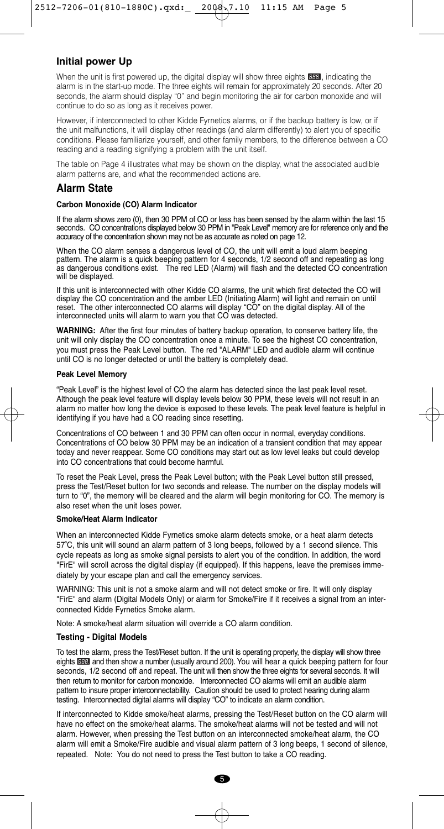#### **Initial power Up**

When the unit is first powered up, the digital display will show three eights **BBB**, indicating the alarm is in the start-up mode. The three eights will remain for approximately 20 seconds. After 20 seconds, the alarm should display "0" and begin monitoring the air for carbon monoxide and will continue to do so as long as it receives power.

However, if interconnected to other Kidde Fyrnetics alarms, or if the backup battery is low, or if the unit malfunctions, it will display other readings (and alarm differently) to alert you of specific conditions. Please familiarize yourself, and other family members, to the difference between a CO reading and a reading signifying a problem with the unit itself.

The table on Page 4 illustrates what may be shown on the display, what the associated audible alarm patterns are, and what the recommended actions are.

#### **Alarm State**

#### **Carbon Monoxide (CO) Alarm Indicator**

If the alarm shows zero (0), then 30 PPM of CO or less has been sensed by the alarm within the last 15 seconds. CO concentrations displayed below 30 PPM in "Peak Level" memory are for reference only and the accuracy of the concentration shown may not be as accurate as noted on page 12.

When the CO alarm senses a dangerous level of CO, the unit will emit a loud alarm beeping pattern. The alarm is a quick beeping pattern for 4 seconds, 1/2 second off and repeating as long as dangerous conditions exist. The red LED (Alarm) will flash and the detected CO concentration will be displayed.

If this unit is interconnected with other Kidde CO alarms, the unit which first detected the CO will display the CO concentration and the amber LED (Initiating Alarm) will light and remain on until reset. The other interconnected CO alarms will display "CO" on the digital display. All of the interconnected units will alarm to warn you that CO was detected.

**WARNING:** After the first four minutes of battery backup operation, to conserve battery life, the unit will only display the CO concentration once a minute. To see the highest CO concentration, you must press the Peak Level button. The red "ALARM" LED and audible alarm will continue until CO is no longer detected or until the battery is completely dead.

#### **Peak Level Memory**

"Peak Level" is the highest level of CO the alarm has detected since the last peak level reset. Although the peak level feature will display levels below 30 PPM, these levels will not result in an alarm no matter how long the device is exposed to these levels. The peak level feature is helpful in identifying if you have had a CO reading since resetting.

Concentrations of CO between 1 and 30 PPM can often occur in normal, everyday conditions. Concentrations of CO below 30 PPM may be an indication of a transient condition that may appear today and never reappear. Some CO conditions may start out as low level leaks but could develop into CO concentrations that could become harmful.

To reset the Peak Level, press the Peak Level button; with the Peak Level button still pressed, press the Test/Reset button for two seconds and release. The number on the display models will turn to "0", the memory will be cleared and the alarm will begin monitoring for CO. The memory is also reset when the unit loses power.

#### **Smoke/Heat Alarm Indicator**

When an interconnected Kidde Fyrnetics smoke alarm detects smoke, or a heat alarm detects 57°C, this unit will sound an alarm pattern of 3 long beeps, followed by a 1 second silence. This cycle repeats as long as smoke signal persists to alert you of the condition. In addition, the word "FirE" will scroll across the digital display (if equipped). If this happens, leave the premises immediately by your escape plan and call the emergency services.

WARNING: This unit is not a smoke alarm and will not detect smoke or fire. It will only display "FirE" and alarm (Digital Models Only) or alarm for Smoke/Fire if it receives a signal from an interconnected Kidde Fyrnetics Smoke alarm.

Note: A smoke/heat alarm situation will override a CO alarm condition.

#### **Testing - Digital Models**

To test the alarm, press the Test/Reset button. If the unit is operating properly, the display will show three eights **DBB** and then show a number (usually around 200). You will hear a quick beeping pattern for four seconds, 1/2 second off and repeat. The unit will then show the three eights for several seconds. It will then return to monitor for carbon monoxide. Interconnected CO alarms will emit an audible alarm pattern to insure proper interconnectability. Caution should be used to protect hearing during alarm testing. Interconnected digital alarms will display "CO" to indicate an alarm condition.

If interconnected to Kidde smoke/heat alarms, pressing the Test/Reset button on the CO alarm will have no effect on the smoke/heat alarms. The smoke/heat alarms will not be tested and will not alarm. However, when pressing the Test button on an interconnected smoke/heat alarm, the CO alarm will emit a Smoke/Fire audible and visual alarm pattern of 3 long beeps, 1 second of silence, repeated. Note: You do not need to press the Test button to take a CO reading.

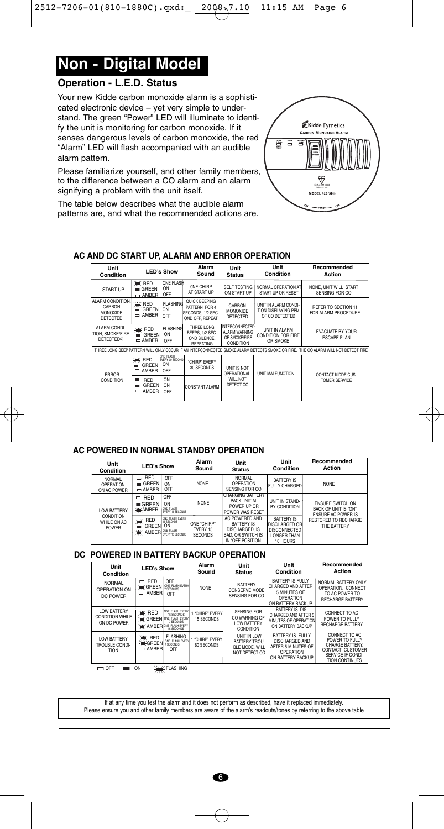# **Non - Digital Model**

#### **Operation - L.E.D. Status**

Your new Kidde carbon monoxide alarm is a sophisticated electronic device – yet very simple to understand. The green "Power" LED will illuminate to identify the unit is monitoring for carbon monoxide. If it senses dangerous levels of carbon monoxide, the red "Alarm" LED will flash accompanied with an audible alarm pattern.

Please familiarize yourself, and other family members, to the difference between a CO alarm and an alarm signifying a problem with the unit itself.

The table below describes what the audible alarm patterns are, and what the recommended actions are.



#### **AC AND DC START UP, ALARM AND ERROR OPERATION**

| Unit<br>Condition                                           | <b>LED's Show</b>                          |                                                   | Alarm<br>Sound                                                                        |                                                               | Unit<br>Condition                                             | Recommended<br>Action                                                                                                             |  |
|-------------------------------------------------------------|--------------------------------------------|---------------------------------------------------|---------------------------------------------------------------------------------------|---------------------------------------------------------------|---------------------------------------------------------------|-----------------------------------------------------------------------------------------------------------------------------------|--|
| START-UP                                                    | <b>WE RED</b><br>GREF<br>$\Box$ AMBER      | ONE FLASH<br>ON<br>OFF                            | ONE CHIRP<br>AT START UP                                                              | <b>SELF TESTING</b><br>ON START UP                            | NORMAL OPERATION AT<br>START UP OR RESET                      | NONE, UNIT WILL START<br>SENSING FOR CO                                                                                           |  |
| ALARM CONDITION.<br>CARBON<br>MONOXIDE<br>DETECTED          | <b>XK RED</b><br>GREEN<br>≕<br>$=$ AMBER   | <b>FLASHING</b><br>ON<br>OFF                      | <b>QUICK BEEPING</b><br>PATTERN FOR 4<br><b>ISECONDS, 1/2 SEC-</b><br>OND OFF, REPEAT | CARBON<br><b>MONOXIDE</b><br>DETECTED                         | UNIT IN ALARM CONDI-<br>TION DISPLAYING PPM<br>OF CO DETECTED | REFER TO SECTION 11<br>FOR ALARM PROCEDURE                                                                                        |  |
| ALARM CONDI-<br>TION, SMOKE/FIRE<br>DETECTED <sup>(2)</sup> | Ж<br><b>RED</b><br>GREEN<br>m<br>$=$ AMBER | <b>FI ASHING</b><br>ON<br>OFF                     | THREE LONG<br>BEEPS, 1/2 SEC-<br>OND SILENCE.<br><b>REPEATING</b>                     | INTERCONNECTED<br>ALARM WARNING<br>OF SMOKE/FIRE<br>CONDITION | UNIT IN ALARM<br><b>CONDITION FOR FIRE</b><br>OR SMOKE        | <b>EVACUATE BY YOUR</b><br><b>ESCAPE PLAN</b>                                                                                     |  |
|                                                             |                                            |                                                   |                                                                                       |                                                               |                                                               | THREE LONG BEEP PATTERN WILL ONLY OCCUR IF AN INTERCONNECTED SMOKE ALARM DETECTS SMOKE OR FIRE. THE CO ALARM WILL NOT DETECT FIRE |  |
| <b>FRROR</b>                                                | <b>WE RED</b><br>GREEN<br>AMBER            | <b>ONE FLASH</b><br>EVERY 30 SECONDS<br>ON<br>OFF | "CHIRP" EVERY<br>30 SECONDS                                                           | UNIT IS NOT<br>OPERATIONAL.                                   | UNIT MALFUNCTION                                              | <b>CONTACT KIDDE CUS-</b>                                                                                                         |  |
| CONDITION                                                   | <b>RFD</b><br>GREEN<br>AMBER               | ON<br>ON<br>OFF                                   | CONSTANT AI ARM                                                                       | <b>WILL NOT</b><br>DETECT CO                                  |                                                               | <b>TOMER SERVICE</b>                                                                                                              |  |

#### **AC POWERED IN NORMAL STANDBY OPERATION**

| Unit<br>Condition                         | <b>LED's Show</b>                                          |                                                         | Alarm<br>Sound                            | Unit<br><b>Status</b>                                                                                 | Unit<br>Condition                                                                           | Recommended<br>Action                                                         |
|-------------------------------------------|------------------------------------------------------------|---------------------------------------------------------|-------------------------------------------|-------------------------------------------------------------------------------------------------------|---------------------------------------------------------------------------------------------|-------------------------------------------------------------------------------|
| <b>NORMAL</b><br>OPERATION<br>ON AC POWER | <b>RED</b><br>$\Box$<br>GRFFN<br>$=$ AMBER                 | OFF<br>ON<br>OFF                                        | <b>NONE</b>                               | <b>NORMAL</b><br>OPERATION<br>SENSING FOR CO                                                          | <b>BATTERY IS</b><br><b>FULLY CHARGED</b>                                                   | <b>NONE</b>                                                                   |
| <b>LOW BATTERY</b>                        | $=$ RED<br>$-$ GREEN<br><b>WEAMBER</b>                     | OFF<br>ON<br>ONE FLASH<br>EVERY 15 SECONDS              | <b>NONE</b>                               | <b>CHARGING BATTERY</b><br>PACK. INITIAL<br>POWER UP OR<br>POWER WAS RESET                            | UNIT IN STAND-<br>BY CONDITION                                                              | <b>FNSURF SWITCH ON</b><br>BACK OF UNIT IS "ON".<br><b>ENSURE AC POWER IS</b> |
| CONDITION<br>WHILE ON AC<br><b>POWER</b>  | <b>XK RED</b><br><b>GREEN</b><br><b>WE AMBER</b> ONE FLASH | ONE FLASH EVERY<br>15 SECONDS<br>ON<br>EVERY 15 SECONDS | ONF "CHIRP"<br>FVFRY 15<br><b>SECONDS</b> | AC POWERED AND<br><b>BATTERY IS</b><br>DISCHARGED. IS<br><b>BAD, OR SWITCH IS</b><br>IN "OFF POSITION | <b>BATTERY IS</b><br>DISCHARGED OR<br><b>DISCONNECTED</b><br><b>LONGER THAN</b><br>10 HOURS | <b>RESTORED TO RECHARGE</b><br>THE BATTERY                                    |

#### **DC POWERED IN BATTERY BACKUP OPERATION**

| Unit<br>Condition                                           | <b>LED's Show</b>                                  |                                                                                            | Alarm<br>Sound                | Unit<br><b>Status</b>                                                  | Unit<br>Condition                                                                                     | Recommended<br>Action                                                                                                |
|-------------------------------------------------------------|----------------------------------------------------|--------------------------------------------------------------------------------------------|-------------------------------|------------------------------------------------------------------------|-------------------------------------------------------------------------------------------------------|----------------------------------------------------------------------------------------------------------------------|
| <b>NORMAL</b><br>OPERATION ON<br>DC POWER                   | <b>RFD</b><br>$\Box$<br><b>*CREEN</b><br>$=$ AMBER | OFF<br>ONE FLASH EVERY<br><b>SECONDS</b><br>OFF                                            | <b>NONE</b>                   | <b>BATTERY</b><br><b>CONSERVE MODE</b><br>SENSING FOR CO               | <b>BATTERY IS FULLY</b><br><b>CHARGED AND AFTER</b><br>5 MINUTES OF<br>OPERATION<br>ON BATTERY BACKUP | NORMAL BATTERY-ONLY<br>OPERATION. CONNECT<br>TO AC POWER TO<br><b>RECHARGE BATTERY</b>                               |
| <b>LOW BATTERY</b><br><b>CONDITION WHILE</b><br>ON DC POWER | <b>WE RED</b><br><b>WE GREEN</b> ONE FLASH EVERY   | ONE FLASH EVERY<br>15 SECONDS<br>7 SECONDS<br><b>WE AMBERONE FLASH EVERY</b><br>15 SECONDS | 1 "CHIRP" EVERY<br>15 SECONDS | SENSING FOR<br>CO WARNING OF<br><b>LOW BATTERY</b><br><b>CONDITION</b> | BATTERY IS DIS-<br>CHARGED AND AFTER 5<br>MINUTES OF OPERATION<br>ON BATTERY BACKUP                   | CONNECT TO AC<br>POWER TO FULLY<br><b>RECHARGE BATTERY</b>                                                           |
| <b>LOW BATTERY</b><br>TROUBLE CONDI-<br><b>TION</b>         | <b>WE RED</b><br><b>WGREEN</b><br>□ AMBER          | <b>FLASHING</b><br>ONE FLASH EVERY<br>SECONDS<br>OFF                                       | "CHIRP" FVFRY<br>60 SECONDS   | UNIT IN LOW<br>BATTERY TROU-<br>BLE MODE. WILL<br>NOT DETECT CO.       | <b>BATTERY IS FULLY</b><br>DISCHARGED AND<br>AFTER 5 MINUTES OF<br>OPERATION<br>ON BATTERY BACKUP     | CONNECT TO AC<br>POWER TO FULLY<br>CHARGE BATTERY.<br>CONTACT CUSTOMER<br>SERVICE IF CONDI-<br><b>TION CONTINUES</b> |

 $\Box$  OFF  $\Box$  ON  $\frac{1}{2}$  FLASHING

If at any time you test the alarm and it does not perform as described, have it replaced immediately. Please ensure you and other family members are aware of the alarm's readouts/tones by referring to the above table

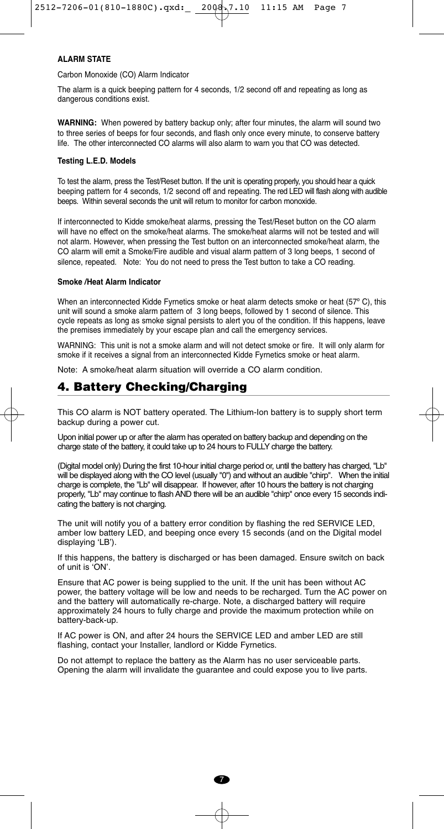#### **ALARM STATE**

Carbon Monoxide (CO) Alarm Indicator

The alarm is a quick beeping pattern for 4 seconds, 1/2 second off and repeating as long as dangerous conditions exist.

**WARNING:** When powered by battery backup only; after four minutes, the alarm will sound two to three series of beeps for four seconds, and flash only once every minute, to conserve battery life. The other interconnected CO alarms will also alarm to warn you that CO was detected.

#### **Testing L.E.D. Models**

To test the alarm, press the Test/Reset button. If the unit is operating properly, you should hear a quick beeping pattern for 4 seconds, 1/2 second off and repeating. The red LED will flash along with audible beeps. Within several seconds the unit will return to monitor for carbon monoxide.

If interconnected to Kidde smoke/heat alarms, pressing the Test/Reset button on the CO alarm will have no effect on the smoke/heat alarms. The smoke/heat alarms will not be tested and will not alarm. However, when pressing the Test button on an interconnected smoke/heat alarm, the CO alarm will emit a Smoke/Fire audible and visual alarm pattern of 3 long beeps, 1 second of silence, repeated. Note: You do not need to press the Test button to take a CO reading.

#### **Smoke /Heat Alarm Indicator**

When an interconnected Kidde Fyrnetics smoke or heat alarm detects smoke or heat (57° C), this unit will sound a smoke alarm pattern of 3 long beeps, followed by 1 second of silence. This cycle repeats as long as smoke signal persists to alert you of the condition. If this happens, leave the premises immediately by your escape plan and call the emergency services.

WARNING: This unit is not a smoke alarm and will not detect smoke or fire. It will only alarm for smoke if it receives a signal from an interconnected Kidde Fyrnetics smoke or heat alarm.

Note: A smoke/heat alarm situation will override a CO alarm condition.

#### **4. Battery Checking/Charging**

This CO alarm is NOT battery operated. The Lithium-Ion battery is to supply short term backup during a power cut.

Upon initial power up or after the alarm has operated on battery backup and depending on the charge state of the battery, it could take up to 24 hours to FULLY charge the battery.

(Digital model only) During the first 10-hour initial charge period or, until the battery has charged, "Lb" will be displayed along with the CO level (usually "0") and without an audible "chirp". When the initial charge is complete, the "Lb" will disappear. If however, after 10 hours the battery is not charging properly, "Lb" may continue to flash AND there will be an audible "chirp" once every 15 seconds indicating the battery is not charging.

The unit will notify you of a battery error condition by flashing the red SERVICE LED, amber low battery LED, and beeping once every 15 seconds (and on the Digital model displaying 'LB').

If this happens, the battery is discharged or has been damaged. Ensure switch on back of unit is 'ON'.

Ensure that AC power is being supplied to the unit. If the unit has been without AC power, the battery voltage will be low and needs to be recharged. Turn the AC power on and the battery will automatically re-charge. Note, a discharged battery will require approximately 24 hours to fully charge and provide the maximum protection while on battery-back-up.

If AC power is ON, and after 24 hours the SERVICE LED and amber LED are still flashing, contact your Installer, landlord or Kidde Fyrnetics.

Do not attempt to replace the battery as the Alarm has no user serviceable parts. Opening the alarm will invalidate the guarantee and could expose you to live parts.

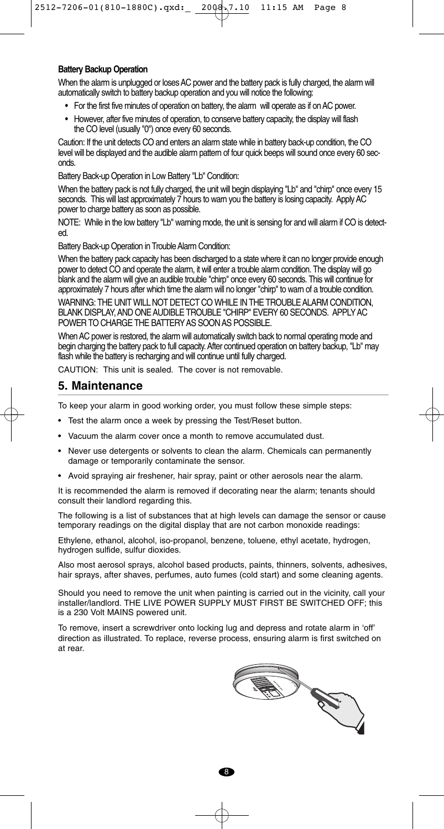#### **Battery Backup Operation**

When the alarm is unplugged or loses AC power and the battery pack is fully charged, the alarm will automatically switch to battery backup operation and you will notice the following:

- For the first five minutes of operation on battery, the alarm will operate as if on AC power.
- However, after five minutes of operation, to conserve battery capacity, the display will flash the CO level (usually "0") once every 60 seconds.

Caution: If the unit detects CO and enters an alarm state while in battery back-up condition, the CO level will be displayed and the audible alarm pattern of four quick beeps will sound once every 60 seconds.

Battery Back-up Operation in Low Battery "Lb" Condition:

When the battery pack is not fully charged, the unit will begin displaying "Lb" and "chirp" once every 15 seconds. This will last approximately 7 hours to warn you the battery is losing capacity. Apply AC power to charge battery as soon as possible.

NOTE: While in the low battery "Lb" warning mode, the unit is sensing for and will alarm if CO is detected.

Battery Back-up Operation in Trouble Alarm Condition:

When the battery pack capacity has been discharged to a state where it can no longer provide enough power to detect CO and operate the alarm, it will enter a trouble alarm condition. The display will go blank and the alarm will give an audible trouble "chirp" once every 60 seconds. This will continue for approximately 7 hours after which time the alarm will no longer "chirp" to warn of a trouble condition.

WARNING: THE UNIT WILL NOT DETECT CO WHILE IN THE TROUBLE ALARM CONDITION, BLANK DISPLAY, AND ONE AUDIBLE TROUBLE "CHIRP" EVERY 60 SECONDS. APPLY AC POWER TO CHARGE THE BATTERY AS SOON AS POSSIBLE.

When AC power is restored, the alarm will automatically switch back to normal operating mode and begin charging the battery pack to full capacity. After continued operation on battery backup, "Lb" may flash while the battery is recharging and will continue until fully charged.

CAUTION: This unit is sealed. The cover is not removable.

#### **5. Maintenance**

To keep your alarm in good working order, you must follow these simple steps:

- Test the alarm once a week by pressing the Test/Reset button.
- Vacuum the alarm cover once a month to remove accumulated dust.
- Never use detergents or solvents to clean the alarm. Chemicals can permanently damage or temporarily contaminate the sensor.
- Avoid spraying air freshener, hair spray, paint or other aerosols near the alarm.

It is recommended the alarm is removed if decorating near the alarm; tenants should consult their landlord regarding this.

The following is a list of substances that at high levels can damage the sensor or cause temporary readings on the digital display that are not carbon monoxide readings:

Ethylene, ethanol, alcohol, iso-propanol, benzene, toluene, ethyl acetate, hydrogen, hydrogen sulfide, sulfur dioxides.

Also most aerosol sprays, alcohol based products, paints, thinners, solvents, adhesives, hair sprays, after shaves, perfumes, auto fumes (cold start) and some cleaning agents.

Should you need to remove the unit when painting is carried out in the vicinity, call your installer/landlord. THE LIVE POWER SUPPLY MUST FIRST BE SWITCHED OFF; this is a 230 Volt MAINS powered unit.

To remove, insert a screwdriver onto locking lug and depress and rotate alarm in 'off' direction as illustrated. To replace, reverse process, ensuring alarm is first switched on at rear.



 $\overline{R}$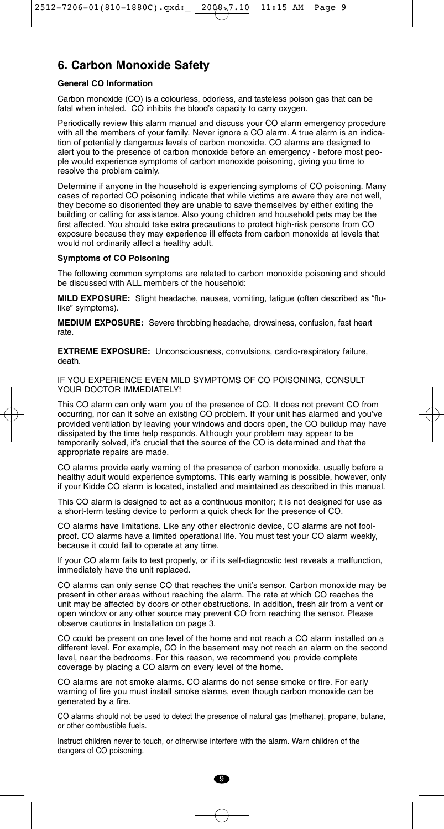#### **6. Carbon Monoxide Safety**

#### **General CO Information**

Carbon monoxide (CO) is a colourless, odorless, and tasteless poison gas that can be fatal when inhaled. CO inhibits the blood's capacity to carry oxygen.

Periodically review this alarm manual and discuss your CO alarm emergency procedure with all the members of your family. Never ignore a CO alarm. A true alarm is an indication of potentially dangerous levels of carbon monoxide. CO alarms are designed to alert you to the presence of carbon monoxide before an emergency - before most people would experience symptoms of carbon monoxide poisoning, giving you time to resolve the problem calmly.

Determine if anyone in the household is experiencing symptoms of CO poisoning. Many cases of reported CO poisoning indicate that while victims are aware they are not well, they become so disoriented they are unable to save themselves by either exiting the building or calling for assistance. Also young children and household pets may be the first affected. You should take extra precautions to protect high-risk persons from CO exposure because they may experience ill effects from carbon monoxide at levels that would not ordinarily affect a healthy adult.

#### **Symptoms of CO Poisoning**

The following common symptoms are related to carbon monoxide poisoning and should be discussed with ALL members of the household:

**MILD EXPOSURE:** Slight headache, nausea, vomiting, fatigue (often described as "flulike" symptoms).

**MEDIUM EXPOSURE:** Severe throbbing headache, drowsiness, confusion, fast heart rate.

**EXTREME EXPOSURE:** Unconsciousness, convulsions, cardio-respiratory failure, death.

IF YOU EXPERIENCE EVEN MILD SYMPTOMS OF CO POISONING, CONSULT YOUR DOCTOR IMMEDIATELY!

This CO alarm can only warn you of the presence of CO. It does not prevent CO from occurring, nor can it solve an existing CO problem. If your unit has alarmed and you've provided ventilation by leaving your windows and doors open, the CO buildup may have dissipated by the time help responds. Although your problem may appear to be temporarily solved, it's crucial that the source of the CO is determined and that the appropriate repairs are made.

CO alarms provide early warning of the presence of carbon monoxide, usually before a healthy adult would experience symptoms. This early warning is possible, however, only if your Kidde CO alarm is located, installed and maintained as described in this manual.

This CO alarm is designed to act as a continuous monitor; it is not designed for use as a short-term testing device to perform a quick check for the presence of CO.

CO alarms have limitations. Like any other electronic device, CO alarms are not foolproof. CO alarms have a limited operational life. You must test your CO alarm weekly, because it could fail to operate at any time.

If your CO alarm fails to test properly, or if its self-diagnostic test reveals a malfunction, immediately have the unit replaced.

CO alarms can only sense CO that reaches the unit's sensor. Carbon monoxide may be present in other areas without reaching the alarm. The rate at which CO reaches the unit may be affected by doors or other obstructions. In addition, fresh air from a vent or open window or any other source may prevent CO from reaching the sensor. Please observe cautions in Installation on page 3.

CO could be present on one level of the home and not reach a CO alarm installed on a different level. For example, CO in the basement may not reach an alarm on the second level, near the bedrooms. For this reason, we recommend you provide complete coverage by placing a CO alarm on every level of the home.

CO alarms are not smoke alarms. CO alarms do not sense smoke or fire. For early warning of fire you must install smoke alarms, even though carbon monoxide can be generated by a fire.

CO alarms should not be used to detect the presence of natural gas (methane), propane, butane, or other combustible fuels.

Instruct children never to touch, or otherwise interfere with the alarm. Warn children of the dangers of CO poisoning.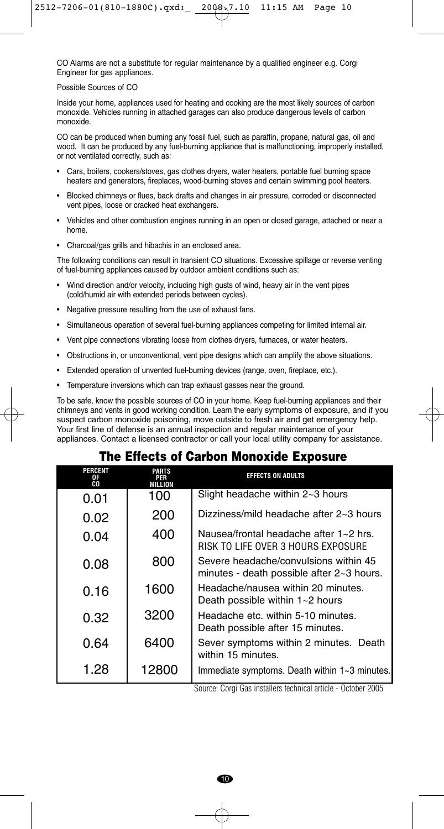CO Alarms are not a substitute for regular maintenance by a qualified engineer e.g. Corgi Engineer for gas appliances.

#### Possible Sources of CO

Inside your home, appliances used for heating and cooking are the most likely sources of carbon monoxide. Vehicles running in attached garages can also produce dangerous levels of carbon monoxide.

CO can be produced when burning any fossil fuel, such as paraffin, propane, natural gas, oil and wood. It can be produced by any fuel-burning appliance that is malfunctioning, improperly installed, or not ventilated correctly, such as:

- Cars, boilers, cookers/stoves, gas clothes dryers, water heaters, portable fuel burning space heaters and generators, fireplaces, wood-burning stoves and certain swimming pool heaters.
- Blocked chimneys or flues, back drafts and changes in air pressure, corroded or disconnected vent pipes, loose or cracked heat exchangers.
- Vehicles and other combustion engines running in an open or closed garage, attached or near a home.
- Charcoal/gas grills and hibachis in an enclosed area.

The following conditions can result in transient CO situations. Excessive spillage or reverse venting of fuel-burning appliances caused by outdoor ambient conditions such as:

- Wind direction and/or velocity, including high gusts of wind, heavy air in the vent pipes (cold/humid air with extended periods between cycles).
- Negative pressure resulting from the use of exhaust fans.
- Simultaneous operation of several fuel-burning appliances competing for limited internal air.
- Vent pipe connections vibrating loose from clothes dryers, furnaces, or water heaters.
- Obstructions in, or unconventional, vent pipe designs which can amplify the above situations.
- Extended operation of unvented fuel-burning devices (range, oven, fireplace, etc.).
- Temperature inversions which can trap exhaust gasses near the ground.

To be safe, know the possible sources of CO in your home. Keep fuel-burning appliances and their chimneys and vents in good working condition. Learn the early symptoms of exposure, and if you suspect carbon monoxide poisoning, move outside to fresh air and get emergency help. Your first line of defense is an annual inspection and regular maintenance of your appliances. Contact a licensed contractor or call your local utility company for assistance.

### **The Effects of Carbon Monoxide Exposure**

| PERCENT<br>OF<br>CO | PARTS<br>MILLION | <b>EFFECTS ON ADULTS</b>                                                                                |
|---------------------|------------------|---------------------------------------------------------------------------------------------------------|
| 0.01                | 100              | Slight headache within 2~3 hours                                                                        |
| 0.02                | 200              | Dizziness/mild headache after 2~3 hours                                                                 |
| 0.04                | 400              | Nausea/frontal headache after 1~2 hrs.<br>RISK TO LIFE OVER 3 HOURS EXPOSURE                            |
| 0.08                | 800              | Severe headache/convulsions within 45<br>minutes - death possible after 2~3 hours.                      |
| 0.16                | 1600             | Headache/nausea within 20 minutes.<br>Death possible within $1 - 2$ hours                               |
| 0.32                | 3200             | Headache etc. within 5-10 minutes.<br>Death possible after 15 minutes.                                  |
| 0.64                | 6400             | Sever symptoms within 2 minutes. Death<br>within 15 minutes.                                            |
| 1.28                | 12800            | Immediate symptoms. Death within 1~3 minutes.<br>$0.0005$ $0.11$ $0.11$ $0.11$ $0.11$ $0.005$<br>$\sim$ |

Source: Corgi Gas installers technical article - October 2005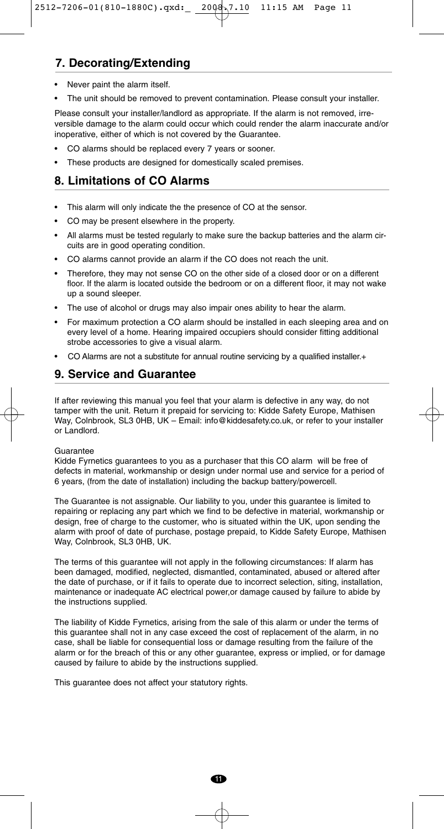# **7. Decorating/Extending**

- Never paint the alarm itself.
- The unit should be removed to prevent contamination. Please consult your installer.

Please consult your installer/landlord as appropriate. If the alarm is not removed, irreversible damage to the alarm could occur which could render the alarm inaccurate and/or inoperative, either of which is not covered by the Guarantee.

- CO alarms should be replaced every 7 years or sooner.
- These products are designed for domestically scaled premises.

# **8. Limitations of CO Alarms**

- This alarm will only indicate the the presence of CO at the sensor.
- CO may be present elsewhere in the property.
- All alarms must be tested regularly to make sure the backup batteries and the alarm circuits are in good operating condition.
- CO alarms cannot provide an alarm if the CO does not reach the unit.
- Therefore, they may not sense CO on the other side of a closed door or on a different floor. If the alarm is located outside the bedroom or on a different floor, it may not wake up a sound sleeper.
- The use of alcohol or drugs may also impair ones ability to hear the alarm.
- For maximum protection a CO alarm should be installed in each sleeping area and on every level of a home. Hearing impaired occupiers should consider fitting additional strobe accessories to give a visual alarm.
- CO Alarms are not a substitute for annual routine servicing by a qualified installer.+

# **9. Service and Guarantee**

If after reviewing this manual you feel that your alarm is defective in any way, do not tamper with the unit. Return it prepaid for servicing to: Kidde Safety Europe, Mathisen Way, Colnbrook, SL3 0HB, UK - Email: info@kiddesafety.co.uk, or refer to your installer or Landlord.

#### Guarantee

Kidde Fyrnetics guarantees to you as a purchaser that this CO alarm will be free of defects in material, workmanship or design under normal use and service for a period of 6 years, (from the date of installation) including the backup battery/powercell.

The Guarantee is not assignable. Our liability to you, under this guarantee is limited to repairing or replacing any part which we find to be defective in material, workmanship or design, free of charge to the customer, who is situated within the UK, upon sending the alarm with proof of date of purchase, postage prepaid, to Kidde Safety Europe, Mathisen Way, Colnbrook, SL3 0HB, UK.

The terms of this guarantee will not apply in the following circumstances: If alarm has been damaged, modified, neglected, dismantled, contaminated, abused or altered after the date of purchase, or if it fails to operate due to incorrect selection, siting, installation, maintenance or inadequate AC electrical power,or damage caused by failure to abide by the instructions supplied.

The liability of Kidde Fyrnetics, arising from the sale of this alarm or under the terms of this guarantee shall not in any case exceed the cost of replacement of the alarm, in no case, shall be liable for consequential loss or damage resulting from the failure of the alarm or for the breach of this or any other guarantee, express or implied, or for damage caused by failure to abide by the instructions supplied.

This guarantee does not affect your statutory rights.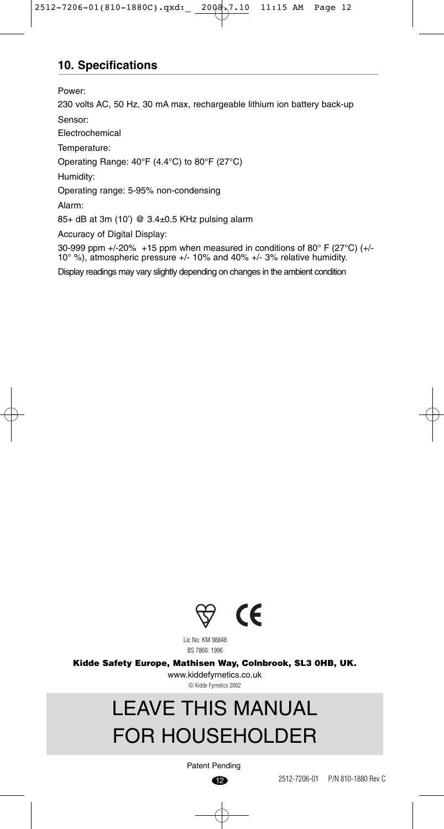# **10. Specifications**

Power:

230 volts AC, 50 Hz, 30 mA max, rechargeable lithium ion battery back-up Sensor:

Electrochemical

Temperature:

Operating Range: 40°F (4.4°C) to 80°F (27°C)

Humidity:

Operating range: 5-95% non-condensing

Alarm:

85+ dB at 3m (10') @ 3.4±0.5 KHz pulsing alarm

Accuracy of Digital Display:

30-999 ppm +/-20% +15 ppm when measured in conditions of 80° F (27°C) (+/- 10° %), atmospheric pressure +/- 10% and 40% +/- 3% relative humidity.

Display readings may vary slightly depending on changes in the ambient condition



Lic No: KM 98848 BS 7860: 1996

**Kidde Safety Europe, Mathisen Way, Colnbrook, SL3 0HB, UK.**

www.kiddefyrnetics.co.uk © Kidde Fyrnetics 2002

# LEAVE THIS MANUAL FOR HOUSEHOLDER

 $\bigcirc$ Patent Pending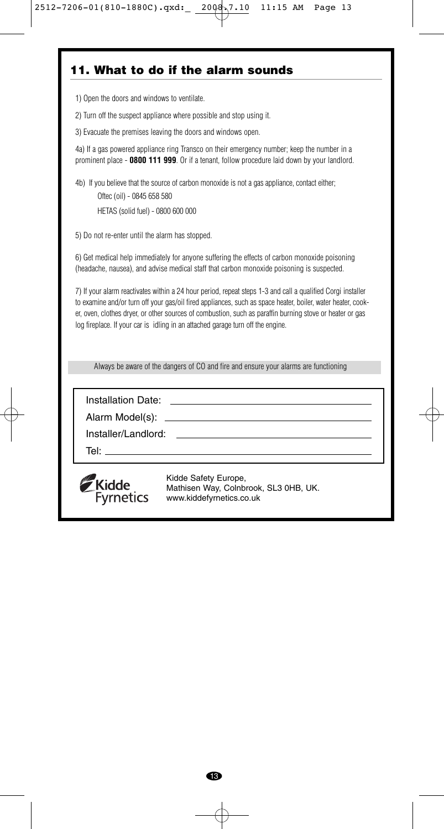